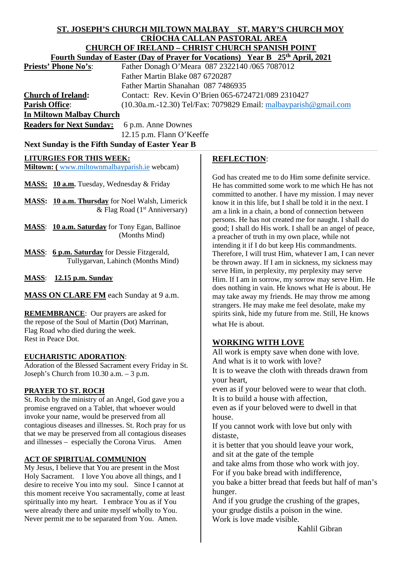# **ST. JOSEPH'S CHURCH MILTOWN MALBAY ST. MARY'S CHURCH MOY CRÍOCHA CALLAN PASTORAL AREA CHURCH OF IRELAND – CHRIST CHURCH SPANISH POINT**

| <b>Fourth Sunday of Easter (Day of Prayer for Vocations)</b> Year B 25 <sup>th</sup> April, 2021 |                                                                    |
|--------------------------------------------------------------------------------------------------|--------------------------------------------------------------------|
| <b>Priests' Phone No's:</b>                                                                      | Father Donagh O'Meara 087 2322140 /065 7087012                     |
|                                                                                                  | Father Martin Blake 087 6720287                                    |
|                                                                                                  | Father Martin Shanahan 087 7486935                                 |
| <b>Church of Ireland:</b>                                                                        | Contact: Rev. Kevin O'Brien 065-6724721/089 2310427                |
| <b>Parish Office:</b>                                                                            | $(10.30a.m.-12.30)$ Tel/Fax: 7079829 Email: malbayparish@gmail.com |
| In Miltown Malbay Church                                                                         |                                                                    |
| <b>Readers for Next Sunday:</b> 6 p.m. Anne Downes                                               |                                                                    |
|                                                                                                  | 12.15 p.m. Flann O'Keeffe                                          |

# Next Sunday is the Fifth Sunday of Easter Year B

# **LITURGIES FOR THIS WEEK:**

**Miltown: (** [www.miltownmalbayparish.ie](http://www.miltownmalbayparish.ie/) webcam)

**MASS: 10 a.m.** Tuesday, Wednesday & Friday

**MASS: 10 a.m. Thursday** for Noel Walsh, Limerick & Flag Road  $(1<sup>st</sup>$  Anniversary)

**MASS**: **10 a.m. Saturday** for Tony Egan, Ballinoe (Months Mind)

**MASS**: **6 p.m. Saturday** for Dessie Fitzgerald, Tullygarvan, Lahinch (Months Mind)

**MASS**: **12.15 p.m. Sunday**

**MASS ON CLARE FM** each Sunday at 9 a.m.

**REMEMBRANCE**: Our prayers are asked for the repose of the Soul of Martin (Dot) Marrinan, Flag Road who died during the week. Rest in Peace Dot.

# **EUCHARISTIC ADORATION**:

Adoration of the Blessed Sacrament every Friday in St. Joseph's Church from 10.30 a.m. – 3 p.m.

# **PRAYER TO ST. ROCH**

St. Roch by the ministry of an Angel, God gave you a promise engraved on a Tablet, that whoever would invoke your name, would be preserved from all contagious diseases and illnesses. St. Roch pray for us that we may be preserved from all contagious diseases and illnesses – especially the Corona Virus. Amen

# **ACT OF SPIRITUAL COMMUNION**

My Jesus, I believe that You are present in the Most Holy Sacrament. I love You above all things, and I desire to receive You into my soul. Since I cannot at this moment receive You sacramentally, come at least spiritually into my heart. I embrace You as if You were already there and unite myself wholly to You. Never permit me to be separated from You. Amen.

# **REFLECTION**:

God has created me to do Him some definite service. He has committed some work to me which He has not committed to another. I have my mission. I may never know it in this life, but I shall be told it in the next. I am a link in a chain, a bond of connection between persons. He has not created me for naught. I shall do good; I shall do His work. I shall be an angel of peace, a preacher of truth in my own place, while not intending it if I do but keep His commandments. Therefore, I will trust Him, whatever I am, I can never be thrown away. If I am in sickness, my sickness may serve Him, in perplexity, my perplexity may serve Him. If I am in sorrow, my sorrow may serve Him. He does nothing in vain. He knows what He is about. He may take away my friends. He may throw me among strangers. He may make me feel desolate, make my spirits sink, hide my future from me. Still, He knows what He is about.

# **WORKING WITH LOVE**

All work is empty save when done with love. And what is it to work with love? It is to weave the cloth with threads drawn from your heart, even as if your beloved were to wear that cloth. It is to build a house with affection, even as if your beloved were to dwell in that house. If you cannot work with love but only with distaste, it is better that you should leave your work, and sit at the gate of the temple and take alms from those who work with joy. For if you bake bread with indifference, you bake a bitter bread that feeds but half of man's hunger. And if you grudge the crushing of the grapes, your grudge distils a poison in the wine. Work is love made visible.

Kahlil Gibran